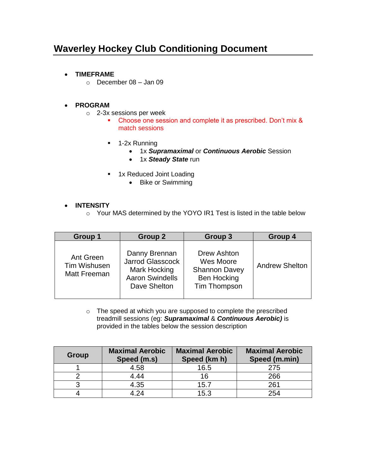# **Waverley Hockey Club Conditioning Document**

- **TIMEFRAME**
	- $\circ$  December 08 Jan 09

# **PROGRAM**

- o 2-3x sessions per week
	- Choose one session and complete it as prescribed. Don't mix & match sessions
	- **1-2x Running** 
		- 1x *Supramaximal* or *Continuous Aerobic* Session
		- 1x *Steady State* run
	- **1x Reduced Joint Loading** 
		- Bike or Swimming

### **INTENSITY**

o Your MAS determined by the YOYO IR1 Test is listed in the table below

| Group 1                                          | Group 2                                                                                            | Group 3                                                                                | Group 4               |
|--------------------------------------------------|----------------------------------------------------------------------------------------------------|----------------------------------------------------------------------------------------|-----------------------|
| Ant Green<br><b>Tim Wishusen</b><br>Matt Freeman | Danny Brennan<br><b>Jarrod Glasscock</b><br>Mark Hocking<br><b>Aaron Swindells</b><br>Dave Shelton | Drew Ashton<br>Wes Moore<br><b>Shannon Davey</b><br><b>Ben Hocking</b><br>Tim Thompson | <b>Andrew Shelton</b> |

o The speed at which you are supposed to complete the prescribed treadmill sessions (eg: *Supramaximal* & *Continuous Aerobic)* is provided in the tables below the session description

| Group | <b>Maximal Aerobic</b><br>Speed (m.s) | <b>Maximal Aerobic</b><br>Speed (km h) | <b>Maximal Aerobic</b><br>Speed (m.min) |
|-------|---------------------------------------|----------------------------------------|-----------------------------------------|
|       | 4.58                                  | 16.5                                   | 275                                     |
|       | 4.44                                  | 16                                     | 266                                     |
|       | 4.35                                  | 15.7                                   | 261                                     |
|       | 4.24                                  | 15.3                                   | 254                                     |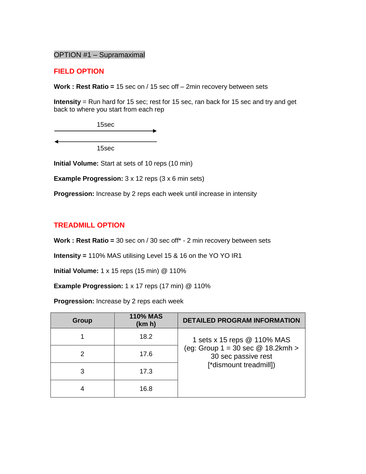### OPTION #1 – Supramaximal

#### **FIELD OPTION**

**Work : Rest Ratio =** 15 sec on / 15 sec off – 2min recovery between sets

**Intensity** = Run hard for 15 sec; rest for 15 sec, ran back for 15 sec and try and get back to where you start from each rep

15sec

15sec

**Initial Volume:** Start at sets of 10 reps (10 min)

**Example Progression:** 3 x 12 reps (3 x 6 min sets)

**Progression:** Increase by 2 reps each week until increase in intensity

 $\overline{\phantom{a}}$ 

#### **TREADMILL OPTION**

**Work : Rest Ratio =** 30 sec on / 30 sec off\* - 2 min recovery between sets

**Intensity =** 110% MAS utilising Level 15 & 16 on the YO YO IR1

**Initial Volume:** 1 x 15 reps (15 min) @ 110%

**Example Progression:** 1 x 17 reps (17 min) @ 110%

**Progression:** Increase by 2 reps each week

| <b>Group</b> | <b>110% MAS</b><br>(km h) | <b>DETAILED PROGRAM INFORMATION</b>                                                        |
|--------------|---------------------------|--------------------------------------------------------------------------------------------|
|              | 18.2                      | 1 sets x 15 reps @ 110% MAS                                                                |
|              | 17.6                      | (eg: Group $1 = 30 \text{ sec} \textcircled{2} 18.2 \text{kmh} > 0$<br>30 sec passive rest |
|              | 17.3                      | [*dismount treadmill])                                                                     |
|              | 16.8                      |                                                                                            |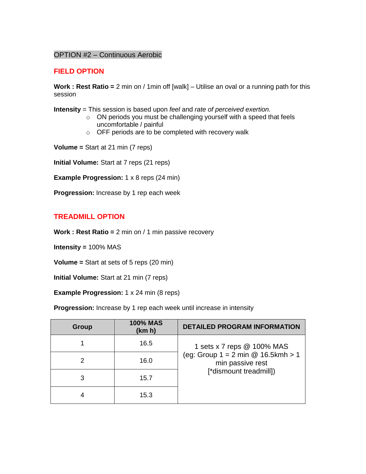### OPTION #2 – Continuous Aerobic

### **FIELD OPTION**

**Work : Rest Ratio =** 2 min on / 1min off [walk] – Utilise an oval or a running path for this session

**Intensity** = This session is based upon *feel* and *rate of perceived exertion.* 

- $\circ$  ON periods you must be challenging yourself with a speed that feels uncomfortable / painful
- o OFF periods are to be completed with recovery walk

**Volume =** Start at 21 min (7 reps)

**Initial Volume:** Start at 7 reps (21 reps)

**Example Progression:** 1 x 8 reps (24 min)

**Progression:** Increase by 1 rep each week

### **TREADMILL OPTION**

**Work : Rest Ratio =** 2 min on / 1 min passive recovery

**Intensity =** 100% MAS

**Volume =** Start at sets of 5 reps (20 min)

**Initial Volume:** Start at 21 min (7 reps)

#### **Example Progression:** 1 x 24 min (8 reps)

**Progression:** Increase by 1 rep each week until increase in intensity

| Group | <b>100% MAS</b><br>(km h) | <b>DETAILED PROGRAM INFORMATION</b>                      |
|-------|---------------------------|----------------------------------------------------------|
|       | 16.5                      | 1 sets x 7 reps @ 100% MAS                               |
|       | 16.0                      | (eg: Group $1 = 2$ min @ 16.5kmh > 1<br>min passive rest |
| 3     | 15.7                      | [*dismount treadmill])                                   |
|       | 15.3                      |                                                          |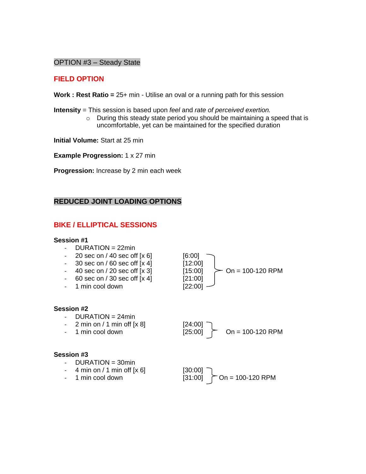#### OPTION #3 – Steady State

### **FIELD OPTION**

**Work : Rest Ratio =** 25+ min - Utilise an oval or a running path for this session

**Intensity** = This session is based upon *feel* and *rate of perceived exertion.* 

o During this steady state period you should be maintaining a speed that is uncomfortable, yet can be maintained for the specified duration

**Initial Volume:** Start at 25 min

**Example Progression:** 1 x 27 min

**Progression:** Increase by 2 min each week

### **REDUCED JOINT LOADING OPTIONS**

# **BIKE / ELLIPTICAL SESSIONS**

#### **Session #1**

- $-$  DURATION = 22min
- 20 sec on  $/$  40 sec off  $[x 6]$
- $-$  30 sec on / 60 sec off  $[x 4]$
- 40 sec on / 20 sec off  $\overline{[x3]}$
- $-$  60 sec on / 30 sec off  $[x 4]$
- 1 min cool down [22:00]

#### **Session #2**

- $-$  DURATION = 24 $min$
- 2 min on / 1 min off  $[x 8]$
- 

#### **Session #3**

- DURATION = 30min
- 4 min on / 1 min off  $[x 6]$
- 

| [6:00]  |                    |
|---------|--------------------|
| [12:00] |                    |
| [15:00] | $On = 100-120$ RPM |
| [21:00] |                    |
| 122.00  |                    |

- 1 min cool down [25:00] On = 100-120 RPM

- 1 min cool down [31:00] On = 100-120 RPM